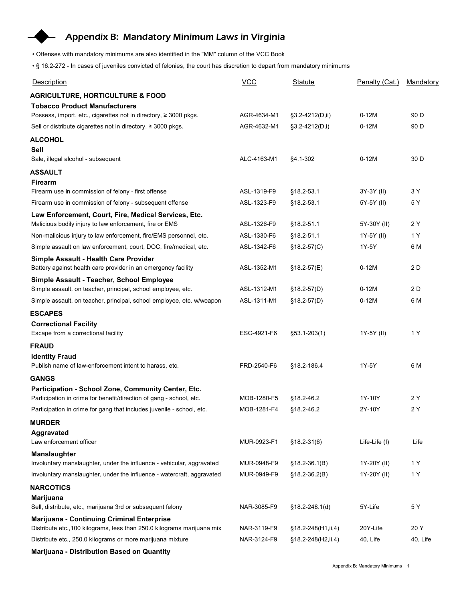## Appendix B: Mandatory Minimum Laws in Virginia

- Offenses with mandatory minimums are also identified in the "MM" column of the VCC Book
- § 16.2-272 In cases of juveniles convicted of felonies, the court has discretion to depart from mandatory minimums

| Appendix B: Mandatory Minimum Laws in Virginia                                                                             |                            |                     |                    |                  |
|----------------------------------------------------------------------------------------------------------------------------|----------------------------|---------------------|--------------------|------------------|
|                                                                                                                            |                            |                     |                    |                  |
|                                                                                                                            |                            |                     |                    |                  |
|                                                                                                                            |                            |                     |                    |                  |
| • Offenses with mandatory minimums are also identified in the "MM" column of the VCC Book                                  |                            |                     |                    |                  |
| . § 16.2-272 - In cases of juveniles convicted of felonies, the court has discretion to depart from mandatory minimums     |                            |                     |                    |                  |
| Description                                                                                                                | VCC                        | Statute             | Penalty (Cat.)     | <b>Mandatory</b> |
| <b>AGRICULTURE, HORTICULTURE &amp; FOOD</b>                                                                                |                            |                     |                    |                  |
| <b>Tobacco Product Manufacturers</b>                                                                                       |                            |                     |                    |                  |
| Possess, import, etc., cigarettes not in directory, ≥ 3000 pkgs.                                                           | AGR-4634-M1                | §3.2-4212(D,ii)     | $0-12M$            | 90 D             |
| Sell or distribute cigarettes not in directory, ≥ 3000 pkgs.                                                               | AGR-4632-M1                | $\S3.2 - 4212(D,i)$ | $0-12M$            | 90 D             |
| <b>ALCOHOL</b>                                                                                                             |                            |                     |                    |                  |
| Sell<br>Sale, illegal alcohol - subsequent                                                                                 | ALC-4163-M1                | §4.1-302            | $0-12M$            | 30 D             |
| <b>ASSAULT</b>                                                                                                             |                            |                     |                    |                  |
| Firearm                                                                                                                    |                            |                     |                    |                  |
| Firearm use in commission of felony - first offense                                                                        | ASL-1319-F9                | §18.2-53.1          | 3Y-3Y (II)         | 3 Y              |
| Firearm use in commission of felony - subsequent offense                                                                   | ASL-1323-F9                | §18.2-53.1          | 5Y-5Y (II)         | 5 Y              |
| Law Enforcement, Court, Fire, Medical Services, Etc.<br>Malicious bodily injury to law enforcement, fire or EMS            | ASL-1326-F9                | §18.2-51.1          | 5Y-30Y (II)        | 2 Y              |
| Non-malicious injury to law enforcement, fire/EMS personnel, etc.                                                          | ASL-1330-F6                | §18.2-51.1          | 1Y-5Y (II)         | 1 Y              |
| Simple assault on law enforcement, court, DOC, fire/medical, etc.                                                          | ASL-1342-F6                | $§18.2-57(C)$       | 1Y-5Y              | 6 M              |
| Simple Assault - Health Care Provider                                                                                      |                            |                     |                    |                  |
| Battery against health care provider in an emergency facility                                                              | ASL-1352-M1                | $$18.2-57(E)$       | $0-12M$            | 2 D              |
| Simple Assault - Teacher, School Employee                                                                                  |                            |                     |                    |                  |
| Simple assault, on teacher, principal, school employee, etc.                                                               | ASL-1312-M1<br>ASL-1311-M1 | §18.2-57(D)         | $0-12M$<br>$0-12M$ | 2 D<br>6 M       |
| Simple assault, on teacher, principal, school employee, etc. w/weapon                                                      |                            | $$18.2-57(D)$       |                    |                  |
| <b>ESCAPES</b><br><b>Correctional Facility</b>                                                                             |                            |                     |                    |                  |
| Escape from a correctional facility                                                                                        | ESC-4921-F6                | §53.1-203(1)        | 1Y-5Y (II)         | 1 Y              |
| <b>FRAUD</b>                                                                                                               |                            |                     |                    |                  |
| <b>Identity Fraud</b>                                                                                                      |                            |                     |                    |                  |
| Publish name of law-enforcement intent to harass, etc.                                                                     | FRD-2540-F6                | §18.2-186.4         | 1Y-5Y              | 6 M              |
| <b>GANGS</b>                                                                                                               |                            |                     |                    |                  |
| Participation - School Zone, Community Center, Etc.<br>Participation in crime for benefit/direction of gang - school, etc. | MOB-1280-F5                | §18.2-46.2          | 1Y-10Y             | 2 Y              |
| Participation in crime for gang that includes juvenile - school, etc.                                                      | MOB-1281-F4                | §18.2-46.2          | 2Y-10Y             | 2 Y              |
| <b>MURDER</b>                                                                                                              |                            |                     |                    |                  |
| Aggravated                                                                                                                 |                            |                     |                    |                  |
| Law enforcement officer                                                                                                    | MUR-0923-F1                | $$18.2 - 31(6)$     | Life-Life (I)      | Life             |
| <b>Manslaughter</b><br>Involuntary manslaughter, under the influence - vehicular, aggravated                               | MUR-0948-F9                | $$18.2-36.1(B)$     | 1Y-20Y (II)        | 1 Y              |
| Involuntary manslaughter, under the influence - watercraft, aggravated                                                     | MUR-0949-F9                | §18.2-36.2(B)       | 1Y-20Y (II)        | 1 Y              |
| <b>NARCOTICS</b>                                                                                                           |                            |                     |                    |                  |
| <b>Marijuana</b>                                                                                                           |                            |                     |                    |                  |
| Sell, distribute, etc., marijuana 3rd or subsequent felony                                                                 | NAR-3085-F9                | §18.2-248.1(d)      | 5Y-Life            | 5 Y              |
| Marijuana - Continuing Criminal Enterprise                                                                                 |                            |                     |                    |                  |
| Distribute etc., 100 kilograms, less than 250.0 kilograms marijuana mix                                                    | NAR-3119-F9                | §18.2-248(H1,ii,4)  | 20Y-Life           | 20 Y             |
| Distribute etc., 250.0 kilograms or more marijuana mixture                                                                 | NAR-3124-F9                | §18.2-248(H2,ii,4)  | 40, Life           | 40, Life         |
| Marijuana - Distribution Based on Quantity                                                                                 |                            |                     |                    |                  |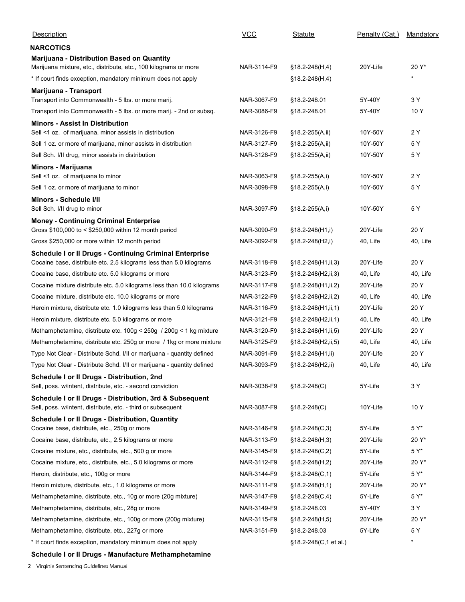| Description                                                                                                             | $VCC$       | Statute                  | Penalty (Cat.) | Mandatory |
|-------------------------------------------------------------------------------------------------------------------------|-------------|--------------------------|----------------|-----------|
| <b>NARCOTICS</b>                                                                                                        |             |                          |                |           |
| Marijuana - Distribution Based on Quantity                                                                              |             |                          |                |           |
| Marijuana mixture, etc., distribute, etc., 100 kilograms or more                                                        | NAR-3114-F9 | $$18.2 - 248(H, 4)$      | 20Y-Life       | 20 Y*     |
| * If court finds exception, mandatory minimum does not apply                                                            |             | $$18.2 - 248(H, 4)$      |                | $\star$   |
| Marijuana - Transport                                                                                                   |             |                          |                |           |
| Transport into Commonwealth - 5 lbs. or more marij.                                                                     | NAR-3067-F9 | §18.2-248.01             | 5Y-40Y         | 3 Y       |
| Transport into Commonwealth - 5 lbs. or more marij. - 2nd or subsq.                                                     | NAR-3086-F9 | §18.2-248.01             | 5Y-40Y         | 10Y       |
| <b>Minors - Assist In Distribution</b><br>Sell <1 oz. of marijuana, minor assists in distribution                       | NAR-3126-F9 | §18.2-255(A,ii)          | 10Y-50Y        | 2 Y       |
| Sell 1 oz. or more of marijuana, minor assists in distribution                                                          | NAR-3127-F9 | $§18.2-255(A, ii)$       | 10Y-50Y        | 5 Y       |
| Sell Sch. I/II drug, minor assists in distribution                                                                      | NAR-3128-F9 | §18.2-255(A,ii)          | 10Y-50Y        | 5 Y       |
| Minors - Marijuana                                                                                                      |             |                          |                |           |
| Sell <1 oz. of marijuana to minor                                                                                       | NAR-3063-F9 | $$18.2-255(A,i)$         | 10Y-50Y        | 2 Y       |
| Sell 1 oz. or more of marijuana to minor                                                                                | NAR-3098-F9 | $§18.2-255(A,i)$         | 10Y-50Y        | 5Y        |
| Minors - Schedule I/II                                                                                                  |             |                          |                |           |
| Sell Sch. I/II drug to minor                                                                                            | NAR-3097-F9 | §18.2-255(A,i)           | 10Y-50Y        | 5Y        |
| <b>Money - Continuing Criminal Enterprise</b>                                                                           |             |                          |                |           |
| Gross \$100,000 to < \$250,000 within 12 month period                                                                   | NAR-3090-F9 | §18.2-248(H1,i)          | 20Y-Life       | 20 Y      |
| Gross \$250,000 or more within 12 month period                                                                          | NAR-3092-F9 | §18.2-248(H2,i)          | 40, Life       | 40, Life  |
| Schedule I or Il Drugs - Continuing Criminal Enterprise                                                                 |             |                          |                |           |
| Cocaine base, distribute etc. 2.5 kilograms less than 5.0 kilograms                                                     | NAR-3118-F9 | $§18.2-248(H1, ii, 3)$   | 20Y-Life       | 20 Y      |
| Cocaine base, distribute etc. 5.0 kilograms or more                                                                     | NAR-3123-F9 | §18.2-248(H2,ii,3)       | 40, Life       | 40, Life  |
| Cocaine mixture distribute etc. 5.0 kilograms less than 10.0 kilograms                                                  | NAR-3117-F9 | §18.2-248(H1, ii, 2)     | 20Y-Life       | 20 Y      |
| Cocaine mixture, distribute etc. 10.0 kilograms or more                                                                 | NAR-3122-F9 | §18.2-248(H2,ii,2)       | 40, Life       | 40, Life  |
| Heroin mixture, distribute etc. 1.0 kilograms less than 5.0 kilograms                                                   | NAR-3116-F9 | $§18.2 - 248(H1, ii, 1)$ | 20Y-Life       | 20 Y      |
| Heroin mixture, distribute etc. 5.0 kilograms or more                                                                   | NAR-3121-F9 | §18.2-248(H2,ii,1)       | 40, Life       | 40, Life  |
| Methamphetamine, distribute etc. 100g < 250g / 200g < 1 kg mixture                                                      | NAR-3120-F9 | $§18.2-248(H1, ii, 5)$   | 20Y-Life       | 20 Y      |
| Methamphetamine, distribute etc. 250g or more / 1kg or more mixture                                                     | NAR-3125-F9 | §18.2-248(H2,ii,5)       | 40, Life       | 40, Life  |
| Type Not Clear - Distribute Schd. I/II or marijuana - quantity defined                                                  | NAR-3091-F9 | $$18.2 - 248(H1, ii)$    | 20Y-Life       | 20 Y      |
| Type Not Clear - Distribute Schd. I/II or marijuana - quantity defined                                                  | NAR-3093-F9 | §18.2-248(H2,ii)         | 40, Life       | 40, Life  |
| Schedule I or II Drugs - Distribution, 2nd                                                                              |             |                          |                |           |
| Sell, poss. w/intent, distribute, etc. - second conviction                                                              | NAR-3038-F9 | $$18.2 - 248(C)$         | 5Y-Life        | 3 Y       |
| Schedule I or II Drugs - Distribution, 3rd & Subsequent<br>Sell, poss. w/intent, distribute, etc. - third or subsequent | NAR-3087-F9 | §18.2-248(C)             | 10Y-Life       | 10Y       |
| Schedule I or II Drugs - Distribution, Quantity                                                                         |             |                          |                |           |
| Cocaine base, distribute, etc., 250g or more                                                                            | NAR-3146-F9 | $$18.2 - 248(C, 3)$      | 5Y-Life        | 5 Y*      |
| Cocaine base, distribute, etc., 2.5 kilograms or more                                                                   | NAR-3113-F9 | §18.2-248(H,3)           | 20Y-Life       | 20 Y*     |
| Cocaine mixture, etc., distribute, etc., 500 g or more                                                                  | NAR-3145-F9 | $$18.2 - 248(C, 2)$      | 5Y-Life        | 5 Y*      |
| Cocaine mixture, etc., distribute, etc., 5.0 kilograms or more                                                          | NAR-3112-F9 | §18.2-248(H,2)           | 20Y-Life       | 20 Y*     |
| Heroin, distribute, etc., 100g or more                                                                                  | NAR-3144-F9 | $§18.2-248(C,1)$         | 5Y-Life        | 5 Y*      |
| Heroin mixture, distribute, etc., 1.0 kilograms or more                                                                 | NAR-3111-F9 | §18.2-248(H,1)           | 20Y-Life       | 20 Y*     |
| Methamphetamine, distribute, etc., 10g or more (20g mixture)                                                            | NAR-3147-F9 | $$18.2 - 248(C, 4)$      | 5Y-Life        | 5 Y*      |
| Methamphetamine, distribute, etc., 28g or more                                                                          | NAR-3149-F9 | §18.2-248.03             | 5Y-40Y         | 3 Y       |
| Methamphetamine, distribute, etc., 100g or more (200g mixture)                                                          | NAR-3115-F9 | §18.2-248(H,5)           | 20Y-Life       | 20 Y*     |
| Methamphetamine, distribute, etc., 227g or more                                                                         | NAR-3151-F9 | §18.2-248.03             | 5Y-Life        | 5 Y       |
| * If court finds exception, mandatory minimum does not apply                                                            |             | §18.2-248(C,1 et al.)    |                | *         |
|                                                                                                                         |             |                          |                |           |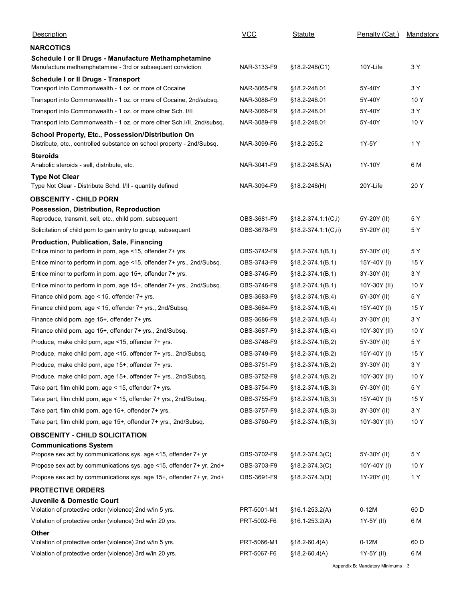| Description                                                                                                                      | <b>VCC</b>                 | Statute                                | Penalty (Cat.)     | Mandatory   |
|----------------------------------------------------------------------------------------------------------------------------------|----------------------------|----------------------------------------|--------------------|-------------|
| <b>NARCOTICS</b>                                                                                                                 |                            |                                        |                    |             |
| Schedule I or II Drugs - Manufacture Methamphetamine<br>Manufacture methamphetamine - 3rd or subsequent conviction               | NAR-3133-F9                | §18.2-248(C1)                          | 10Y-Life           | 3 Y         |
| Schedule I or Il Drugs - Transport                                                                                               |                            |                                        |                    |             |
| Transport into Commonwealth - 1 oz. or more of Cocaine                                                                           | NAR-3065-F9                | §18.2-248.01                           | 5Y-40Y             | 3 Y         |
| Transport into Commonwealth - 1 oz. or more of Cocaine, 2nd/subsq.                                                               | NAR-3088-F9                | §18.2-248.01                           | 5Y-40Y             | 10 Y        |
| Transport into Commonwealth - 1 oz. or more other Sch. I/II                                                                      | NAR-3066-F9                | §18.2-248.01                           | 5Y-40Y             | 3 Y         |
| Transport into Commonwealth - 1 oz. or more other Sch. I/II, 2nd/subsq.                                                          | NAR-3089-F9                | §18.2-248.01                           | 5Y-40Y             | 10Y         |
| School Property, Etc., Possession/Distribution On<br>Distribute, etc., controlled substance on school property - 2nd/Subsq.      | NAR-3099-F6                | §18.2-255.2                            | 1Y-5Y              | 1 Y         |
| <b>Steroids</b>                                                                                                                  |                            |                                        |                    |             |
| Anabolic steroids - sell, distribute, etc.<br><b>Type Not Clear</b><br>Type Not Clear - Distribute Schd. I/II - quantity defined | NAR-3041-F9<br>NAR-3094-F9 | $$18.2 - 248.5(A)$<br>$$18.2 - 248(H)$ | 1Y-10Y<br>20Y-Life | 6 M<br>20 Y |
|                                                                                                                                  |                            |                                        |                    |             |
| <b>OBSCENITY - CHILD PORN</b><br>Possession, Distribution, Reproduction                                                          |                            |                                        |                    |             |
| Reproduce, transmit, sell, etc., child porn, subsequent                                                                          | OBS-3681-F9                | $§18.2-374.1:1(C,i)$                   | 5Y-20Y (II)        | 5 Y         |
| Solicitation of child porn to gain entry to group, subsequent                                                                    | OBS-3678-F9                | §18.2-374.1:1(C,ii)                    | 5Y-20Y (II)        | 5 Y         |
| Production, Publication, Sale, Financing                                                                                         |                            |                                        |                    |             |
| Entice minor to perform in porn, age <15, offender 7+ yrs.                                                                       | OBS-3742-F9                | $§18.2-374.1(B,1)$                     | 5Y-30Y (II)        | 5 Y         |
| Entice minor to perform in porn, age <15, offender 7+ yrs., 2nd/Subsq.                                                           | OBS-3743-F9                | $§18.2-374.1(B,1)$                     | 15Y-40Y (I)        | 15 Y        |
| Entice minor to perform in porn, age 15+, offender 7+ yrs.                                                                       | OBS-3745-F9                | $§18.2-374.1(B,1)$                     | 3Y-30Y (II)        | 3 Y         |
| Entice minor to perform in porn, age 15+, offender 7+ yrs., 2nd/Subsq.                                                           | OBS-3746-F9                | $§18.2-374.1(B,1)$                     | 10Y-30Y (II)       | 10Y         |
| Finance child porn, age < 15, offender 7+ yrs.                                                                                   | OBS-3683-F9                | $§18.2-374.1(B,4)$                     | 5Y-30Y (II)        | 5 Y         |
| Finance child porn, age < 15, offender 7+ yrs., 2nd/Subsq.                                                                       | OBS-3684-F9                | $§18.2-374.1(B,4)$                     | 15Y-40Y (I)        | 15 Y        |
| Finance child porn, age 15+, offender 7+ yrs.                                                                                    | OBS-3686-F9                | $§18.2-374.1(B,4)$                     | 3Y-30Y (II)        | 3 Y         |
| Finance child porn, age 15+, offender 7+ yrs., 2nd/Subsq.                                                                        | OBS-3687-F9                | $§18.2-374.1(B,4)$                     | 10Y-30Y (II)       | 10Y         |
| Produce, make child porn, age <15, offender 7+ yrs.                                                                              | OBS-3748-F9                | $§18.2-374.1(B,2)$                     | 5Y-30Y (II)        | 5 Y         |
| Produce, make child porn, age <15, offender 7+ yrs., 2nd/Subsq.                                                                  | OBS-3749-F9                | $§18.2-374.1(B,2)$                     | 15Y-40Y (I)        | 15 Y        |
| Produce, make child porn, age 15+, offender 7+ yrs.                                                                              | OBS-3751-F9                | $§18.2-374.1(B,2)$                     | 3Y-30Y (II)        | 3 Y         |
| Produce, make child porn, age 15+, offender 7+ yrs., 2nd/Subsq.                                                                  | OBS-3752-F9                | $§18.2-374.1(B,2)$                     | 10Y-30Y (II)       | 10Y         |
| Take part, film child porn, age < 15, offender 7+ yrs.                                                                           | OBS-3754-F9                | $§18.2-374.1(B,3)$                     | 5Y-30Y (II)        | 5 Y         |
| Take part, film child porn, age < 15, offender 7+ yrs., 2nd/Subsq.                                                               | OBS-3755-F9                | $§18.2-374.1(B,3)$                     | 15Y-40Y (I)        | 15 Y        |
| Take part, film child porn, age 15+, offender 7+ yrs.                                                                            | OBS-3757-F9                | $§18.2-374.1(B,3)$                     | 3Y-30Y (II)        | 3 Y         |
| Take part, film child porn, age 15+, offender 7+ yrs., 2nd/Subsq.                                                                | OBS-3760-F9                | $§18.2-374.1(B,3)$                     | 10Y-30Y (II)       | 10 Y        |
| <b>OBSCENITY - CHILD SOLICITATION</b>                                                                                            |                            |                                        |                    |             |
| <b>Communications System</b>                                                                                                     |                            |                                        |                    |             |
| Propose sex act by communications sys. age <15, offender 7+ yr                                                                   | OBS-3702-F9                | $$18.2-374.3(C)$                       | 5Y-30Y (II)        | 5 Y         |
| Propose sex act by communications sys. age <15, offender 7+ yr, 2nd+                                                             | OBS-3703-F9                | $§18.2-374.3(C)$                       | 10Y-40Y (I)        | 10Y         |
| Propose sex act by communications sys. age 15+, offender 7+ yr, 2nd+                                                             | OBS-3691-F9                | $§18.2-374.3(D)$                       | 1Y-20Y (II)        | 1 Y         |
| <b>PROTECTIVE ORDERS</b>                                                                                                         |                            |                                        |                    |             |
| Juvenile & Domestic Court                                                                                                        |                            |                                        |                    |             |
| Violation of protective order (violence) 2nd w/in 5 yrs.                                                                         | PRT-5001-M1                | $$16.1-253.2(A)$                       | $0-12M$            | 60 D        |
| Violation of protective order (violence) 3rd w/in 20 yrs.                                                                        | PRT-5002-F6                | $§16.1-253.2(A)$                       | 1Y-5Y (II)         | 6 M         |
| Other<br>Violation of protective order (violence) 2nd w/in 5 yrs.                                                                | PRT-5066-M1                | $$18.2-60.4(A)$                        | $0-12M$            | 60 D        |
|                                                                                                                                  | PRT-5067-F6                | $$18.2-60.4(A)$                        | 1Y-5Y (II)         | 6 M         |
| Violation of protective order (violence) 3rd w/in 20 yrs.                                                                        |                            |                                        |                    |             |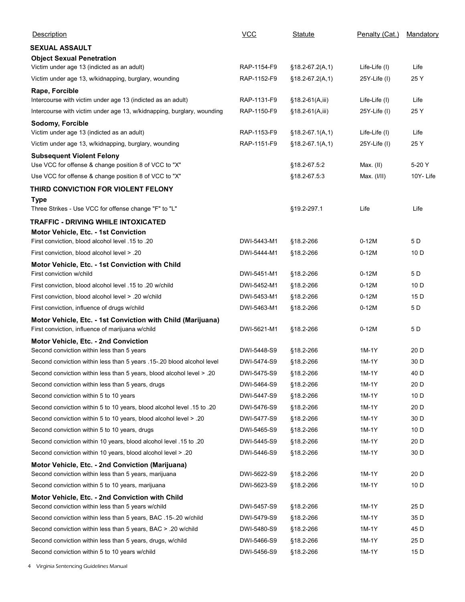| Description                                                                                           | $VCC$       | <b>Statute</b>    | Penalty (Cat.)  | Mandatory |
|-------------------------------------------------------------------------------------------------------|-------------|-------------------|-----------------|-----------|
| <b>SEXUAL ASSAULT</b>                                                                                 |             |                   |                 |           |
| <b>Object Sexual Penetration</b>                                                                      |             |                   |                 |           |
| Victim under age 13 (indicted as an adult)                                                            | RAP-1154-F9 | $§18.2-67.2(A,1)$ | Life-Life (I)   | Life      |
| Victim under age 13, w/kidnapping, burglary, wounding                                                 | RAP-1152-F9 | $$18.2-67.2(A,1)$ | 25Y-Life (I)    | 25 Y      |
| Rape, Forcible<br>Intercourse with victim under age 13 (indicted as an adult)                         | RAP-1131-F9 | $$18.2-61(A,iii)$ | Life-Life (I)   | Life      |
| Intercourse with victim under age 13, w/kidnapping, burglary, wounding                                | RAP-1150-F9 | §18.2-61(A,iii)   | 25Y-Life (I)    | 25 Y      |
| Sodomy, Forcible                                                                                      |             |                   |                 |           |
| Victim under age 13 (indicted as an adult)                                                            | RAP-1153-F9 | §18.2-67.1(A,1)   | Life-Life (I)   | Life      |
| Victim under age 13, w/kidnapping, burglary, wounding                                                 | RAP-1151-F9 | $$18.2-67.1(A,1)$ | $25Y$ -Life (I) | 25 Y      |
| <b>Subsequent Violent Felony</b>                                                                      |             |                   |                 |           |
| Use VCC for offense & change position 8 of VCC to "X"                                                 |             | §18.2-67.5:2      | Max. (II)       | 5-20 Y    |
| Use VCC for offense & change position 8 of VCC to "X"                                                 |             | §18.2-67.5:3      | Max. (I/II)     | 10Y-Life  |
| THIRD CONVICTION FOR VIOLENT FELONY                                                                   |             |                   |                 |           |
| <b>Type</b>                                                                                           |             |                   |                 |           |
| Three Strikes - Use VCC for offense change "F" to "L"                                                 |             | §19.2-297.1       | Life            | Life      |
| <b>TRAFFIC - DRIVING WHILE INTOXICATED</b>                                                            |             |                   |                 |           |
| Motor Vehicle, Etc. - 1st Conviction<br>First conviction, blood alcohol level .15 to .20              | DWI-5443-M1 | §18.2-266         | $0-12M$         | 5 D       |
| First conviction, blood alcohol level > .20                                                           | DWI-5444-M1 | §18.2-266         | $0-12M$         | 10 D      |
| Motor Vehicle, Etc. - 1st Conviction with Child                                                       |             |                   |                 |           |
| First conviction w/child                                                                              | DWI-5451-M1 | §18.2-266         | $0-12M$         | 5 D       |
| First conviction, blood alcohol level .15 to .20 w/child                                              | DWI-5452-M1 | §18.2-266         | $0-12M$         | 10 D      |
| First conviction, blood alcohol level > .20 w/child                                                   | DWI-5453-M1 | §18.2-266         | $0-12M$         | 15 D      |
| First conviction, influence of drugs w/child                                                          | DWI-5463-M1 | §18.2-266         | $0-12M$         | 5 D       |
| Motor Vehicle, Etc. - 1st Conviction with Child (Marijuana)                                           |             |                   |                 |           |
| First conviction, influence of marijuana w/child                                                      | DWI-5621-M1 | §18.2-266         | $0-12M$         | 5 D       |
| Motor Vehicle, Etc. - 2nd Conviction                                                                  |             |                   |                 |           |
| Second conviction within less than 5 years                                                            | DWI-5448-S9 | §18.2-266         | 1M-1Y           | 20 D      |
| Second conviction within less than 5 years .15-.20 blood alcohol level                                | DWI-5474-S9 | §18.2-266         | 1M-1Y           | 30 D      |
| Second conviction within less than 5 years, blood alcohol level > .20                                 | DWI-5475-S9 | §18.2-266         | 1M-1Y           | 40 D      |
| Second conviction within less than 5 years, drugs                                                     | DWI-5464-S9 | §18.2-266         | 1M-1Y           | 20 D      |
| Second conviction within 5 to 10 years                                                                | DWI-5447-S9 | §18.2-266         | 1M-1Y           | 10 D      |
| Second conviction within 5 to 10 years, blood alcohol level .15 to .20                                | DWI-5476-S9 | §18.2-266         | 1M-1Y           | 20 D      |
| Second conviction within 5 to 10 years, blood alcohol level > .20                                     | DWI-5477-S9 | §18.2-266         | 1M-1Y           | 30 D      |
| Second conviction within 5 to 10 years, drugs                                                         | DWI-5465-S9 | §18.2-266         | 1M-1Y           | 10 D      |
| Second conviction within 10 years, blood alcohol level .15 to .20                                     | DWI-5445-S9 | §18.2-266         | 1M-1Y           | 20 D      |
| Second conviction within 10 years, blood alcohol level > .20                                          | DWI-5446-S9 | §18.2-266         | 1M-1Y           | 30 D      |
| Motor Vehicle, Etc. - 2nd Conviction (Marijuana)                                                      |             |                   |                 |           |
| Second conviction within less than 5 years, marijuana                                                 | DWI-5622-S9 | §18.2-266         | 1M-1Y           | 20 D      |
| Second conviction within 5 to 10 years, marijuana                                                     | DWI-5623-S9 | §18.2-266         | 1M-1Y           | 10 D      |
| Motor Vehicle, Etc. - 2nd Conviction with Child<br>Second conviction within less than 5 years w/child | DWI-5457-S9 | §18.2-266         | 1M-1Y           | 25 D      |
| Second conviction within less than 5 years, BAC .15-.20 w/child                                       | DWI-5479-S9 | §18.2-266         | 1M-1Y           | 35 D      |
| Second conviction within less than 5 years, BAC > .20 w/child                                         | DWI-5480-S9 | §18.2-266         | 1M-1Y           | 45 D      |
| Second conviction within less than 5 years, drugs, w/child                                            | DWI-5466-S9 | §18.2-266         | 1M-1Y           | 25 D      |
|                                                                                                       | DWI-5456-S9 | §18.2-266         | $1M-1Y$         | 15 D      |
| Second conviction within 5 to 10 years w/child                                                        |             |                   |                 |           |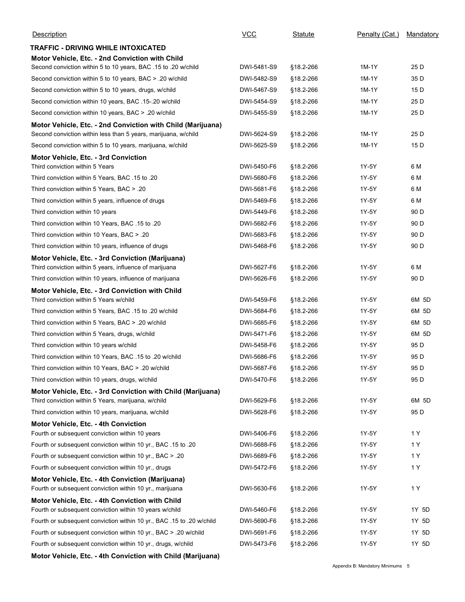| Description                                                                                                                   | <b>VCC</b>  | Statute   | Penalty (Cat.)                   | <b>Mandatory</b> |
|-------------------------------------------------------------------------------------------------------------------------------|-------------|-----------|----------------------------------|------------------|
| TRAFFIC - DRIVING WHILE INTOXICATED                                                                                           |             |           |                                  |                  |
| Motor Vehicle, Etc. - 2nd Conviction with Child                                                                               |             |           |                                  |                  |
| Second conviction within 5 to 10 years, BAC .15 to .20 w/child                                                                | DWI-5481-S9 | §18.2-266 | 1M-1Y                            | 25 D             |
| Second conviction within 5 to 10 years, BAC > .20 w/child                                                                     | DWI-5482-S9 | §18.2-266 | 1M-1Y                            | 35 D             |
| Second conviction within 5 to 10 years, drugs, w/child                                                                        | DWI-5467-S9 | §18.2-266 | 1M-1Y                            | 15 D             |
| Second conviction within 10 years, BAC .15-.20 w/child                                                                        | DWI-5454-S9 | §18.2-266 | 1M-1Y                            | 25 D             |
| Second conviction within 10 years, BAC > .20 w/child                                                                          | DWI-5455-S9 | §18.2-266 | 1M-1Y                            | 25 D             |
| Motor Vehicle, Etc. - 2nd Conviction with Child (Marijuana)<br>Second conviction within less than 5 years, marijuana, w/child | DWI-5624-S9 | §18.2-266 | $1M-1Y$                          | 25 D             |
| Second conviction within 5 to 10 years, marijuana, w/child                                                                    | DWI-5625-S9 | §18.2-266 | 1M-1Y                            | 15 D             |
| Motor Vehicle, Etc. - 3rd Conviction                                                                                          |             |           |                                  |                  |
| Third conviction within 5 Years                                                                                               | DWI-5450-F6 | §18.2-266 | 1Y-5Y                            | 6 M              |
| Third conviction within 5 Years, BAC .15 to .20                                                                               | DWI-5680-F6 | §18.2-266 | 1Y-5Y                            | 6 M              |
| Third conviction within 5 Years, BAC > .20                                                                                    | DWI-5681-F6 | §18.2-266 | 1Y-5Y                            | 6 M              |
| Third conviction within 5 years, influence of drugs                                                                           | DWI-5469-F6 | §18.2-266 | 1Y-5Y                            | 6 M              |
| Third conviction within 10 years                                                                                              | DWI-5449-F6 | §18.2-266 | 1Y-5Y                            | 90 D             |
| Third conviction within 10 Years, BAC .15 to .20                                                                              | DWI-5682-F6 | §18.2-266 | 1Y-5Y                            | 90 D             |
| Third conviction within 10 Years, BAC > .20                                                                                   | DWI-5683-F6 | §18.2-266 | 1Y-5Y                            | 90 D             |
| Third conviction within 10 years, influence of drugs                                                                          | DWI-5468-F6 | §18.2-266 | 1Y-5Y                            | 90 D             |
| Motor Vehicle, Etc. - 3rd Conviction (Marijuana)                                                                              |             |           |                                  |                  |
| Third conviction within 5 years, influence of marijuana                                                                       | DWI-5627-F6 | §18.2-266 | 1Y-5Y                            | 6 M              |
| Third conviction within 10 years, influence of marijuana                                                                      | DWI-5626-F6 | §18.2-266 | 1Y-5Y                            | 90 D             |
| Motor Vehicle, Etc. - 3rd Conviction with Child                                                                               |             |           |                                  |                  |
| Third conviction within 5 Years w/child                                                                                       | DWI-5459-F6 | §18.2-266 | 1Y-5Y                            | 6M 5D            |
| Third conviction within 5 Years, BAC .15 to .20 w/child                                                                       | DWI-5684-F6 | §18.2-266 | 1Y-5Y                            | 6M 5D            |
| Third conviction within 5 Years, BAC > .20 w/child                                                                            | DWI-5685-F6 | §18.2-266 | 1Y-5Y                            | 6M 5D            |
| Third conviction within 5 Years, drugs, w/child                                                                               | DWI-5471-F6 | §18.2-266 | 1Y-5Y                            | 6M 5D            |
| Third conviction within 10 years w/child                                                                                      | DWI-5458-F6 | §18.2-266 | 1Y-5Y                            | 95 D             |
| Third conviction within 10 Years, BAC .15 to .20 w/child                                                                      | DWI-5686-F6 | §18.2-266 | 1Y-5Y                            | 95 D             |
| Third conviction within 10 Years, BAC > .20 w/child                                                                           | DWI-5687-F6 | §18.2-266 | 1Y-5Y                            | 95 D             |
| Third conviction within 10 years, drugs, w/child                                                                              | DWI-5470-F6 | §18.2-266 | 1Y-5Y                            | 95 D             |
|                                                                                                                               |             |           |                                  |                  |
| Motor Vehicle, Etc. - 3rd Conviction with Child (Marijuana)<br>Third conviction within 5 Years, marijuana, w/child            | DWI-5629-F6 | §18.2-266 | 1Y-5Y                            | 6M 5D            |
| Third conviction within 10 years, marijuana, w/child                                                                          | DWI-5628-F6 | §18.2-266 | 1Y-5Y                            | 95 D             |
|                                                                                                                               |             |           |                                  |                  |
| <b>Motor Vehicle, Etc. - 4th Conviction</b><br>Fourth or subsequent conviction within 10 years                                | DWI-5406-F6 | §18.2-266 | 1Y-5Y                            | 1 Y              |
| Fourth or subsequent conviction within 10 yr., BAC .15 to .20                                                                 | DWI-5688-F6 | §18.2-266 | 1Y-5Y                            | 1 Y              |
| Fourth or subsequent conviction within 10 yr., BAC > .20                                                                      | DWI-5689-F6 | §18.2-266 | 1Y-5Y                            | 1 Y              |
| Fourth or subsequent conviction within 10 yr., drugs                                                                          | DWI-5472-F6 | §18.2-266 | 1Y-5Y                            | 1 Y              |
|                                                                                                                               |             |           |                                  |                  |
| Motor Vehicle, Etc. - 4th Conviction (Marijuana)<br>Fourth or subsequent conviction within 10 yr., marijuana                  | DWI-5630-F6 | §18.2-266 | 1Y-5Y                            | 1 Y              |
| Motor Vehicle, Etc. - 4th Conviction with Child<br>Fourth or subsequent conviction within 10 years w/child                    | DWI-5460-F6 | §18.2-266 | 1Y-5Y                            | 1Y 5D            |
| Fourth or subsequent conviction within 10 yr., BAC .15 to .20 w/child                                                         | DWI-5690-F6 | §18.2-266 | 1Y-5Y                            | 1Y 5D            |
| Fourth or subsequent conviction within 10 yr., BAC > .20 w/child                                                              | DWI-5691-F6 | §18.2-266 | 1Y-5Y                            | 1Y 5D            |
| Fourth or subsequent conviction within 10 yr., drugs, w/child                                                                 | DWI-5473-F6 | §18.2-266 | 1Y-5Y                            | 1Y 5D            |
| Motor Vehicle, Etc. - 4th Conviction with Child (Marijuana)                                                                   |             |           |                                  |                  |
|                                                                                                                               |             |           | Appendix B: Mandatory Minimums 5 |                  |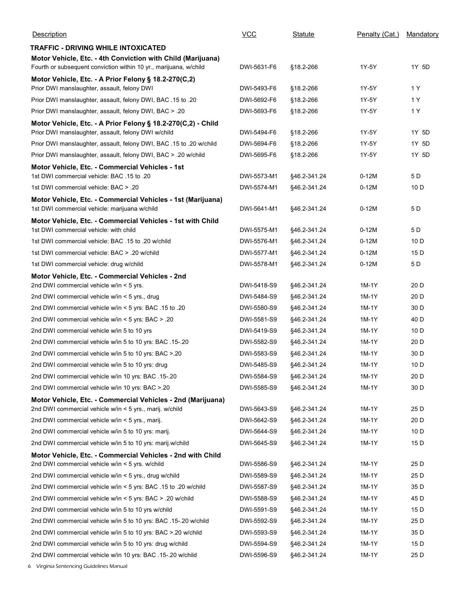| Description                                                                                                                      | $VCC$                      | Statute                      | Penalty (Cat.) | Mandatory    |
|----------------------------------------------------------------------------------------------------------------------------------|----------------------------|------------------------------|----------------|--------------|
| <b>TRAFFIC - DRIVING WHILE INTOXICATED</b>                                                                                       |                            |                              |                |              |
| Motor Vehicle, Etc. - 4th Conviction with Child (Marijuana)<br>Fourth or subsequent conviction within 10 yr., marijuana, w/child | DWI-5631-F6                | §18.2-266                    | 1Y-5Y          | 1Y 5D        |
| Motor Vehicle, Etc. - A Prior Felony § 18.2-270(C,2)<br>Prior DWI manslaughter, assault, felony DWI                              | DWI-5493-F6                | §18.2-266                    | 1Y-5Y          | 1 Y          |
| Prior DWI manslaughter, assault, felony DWI, BAC .15 to .20                                                                      | DWI-5692-F6                | §18.2-266                    | 1Y-5Y          | 1 Y          |
| Prior DWI manslaughter, assault, felony DWI, BAC > .20                                                                           | DWI-5693-F6                | §18.2-266                    | 1Y-5Y          | 1 Y          |
| Motor Vehicle, Etc. - A Prior Felony § 18.2-270(C,2) - Child                                                                     |                            |                              |                |              |
| Prior DWI manslaughter, assault, felony DWI w/child                                                                              | DWI-5494-F6                | §18.2-266                    | 1Y-5Y          | 1Y 5D        |
| Prior DWI manslaughter, assault, felony DWI, BAC .15 to .20 w/child                                                              | DWI-5694-F6                | §18.2-266                    | 1Y-5Y          | 1Y 5D        |
| Prior DWI manslaughter, assault, felony DWI, BAC > .20 w/child                                                                   | DWI-5695-F6                | §18.2-266                    | 1Y-5Y          | 1Y 5D        |
| Motor Vehicle, Etc. - Commercial Vehicles - 1st<br>1st DWI commercial vehicle: BAC .15 to .20                                    | DWI-5573-M1                | §46.2-341.24                 | $0-12M$        | 5 D          |
| 1st DWI commercial vehicle: BAC > .20                                                                                            | DWI-5574-M1                | §46.2-341.24                 | $0-12M$        | 10 D         |
| Motor Vehicle, Etc. - Commercial Vehicles - 1st (Marijuana)<br>1st DWI commercial vehicle: marijuana w/child                     | DWI-5641-M1                | §46.2-341.24                 | $0-12M$        | 5 D          |
| Motor Vehicle, Etc. - Commercial Vehicles - 1st with Child<br>1st DWI commercial vehicle: with child                             | DWI-5575-M1                | §46.2-341.24                 | $0-12M$        | 5 D          |
| 1st DWI commercial vehicle: BAC .15 to .20 w/child                                                                               | DWI-5576-M1                | §46.2-341.24                 | $0-12M$        | 10 D         |
| 1st DWI commercial vehicle: BAC > .20 w/child                                                                                    | DWI-5577-M1                | §46.2-341.24                 | $0-12M$        | 15 D         |
| 1st DWI commercial vehicle: drug w/child                                                                                         | DWI-5578-M1                | §46.2-341.24                 | $0-12M$        | 5 D          |
| Motor Vehicle, Etc. - Commercial Vehicles - 2nd                                                                                  |                            |                              |                |              |
| 2nd DWI commercial vehicle w/in < 5 yrs.                                                                                         | DWI-5418-S9                | §46.2-341.24                 | 1M-1Y          | 20 D         |
| 2nd DWI commercial vehicle w/in < 5 yrs., drug<br>20. 20 21. 215 2nd DWI commercial vehicle w/in < 5 yrs: BAC                    | DWI-5484-S9<br>DWI-5580-S9 | §46.2-341.24                 | 1M-1Y<br>1M-1Y | 20 D<br>30 D |
| 20. < 20. < 2nd DWI commercial vehicle w/in < 5 yrs: BAC                                                                         | DWI-5581-S9                | §46.2-341.24<br>§46.2-341.24 | 1M-1Y          | 40 D         |
| 2nd DWI commercial vehicle w/in 5 to 10 yrs                                                                                      | DWI-5419-S9                | §46.2-341.24                 | 1M-1Y          | 10 D         |
| 20.-15. 20 2nd DWI commercial vehicle w/in 5 to 10 yrs: BAC                                                                      | DWI-5582-S9                | §46.2-341.24                 | 1M-1Y          | 20 D         |
| 2nd DWI commercial vehicle w/in 5 to 10 yrs: BAC > 20                                                                            | DWI-5583-S9                | §46.2-341.24                 | 1M-1Y          | 30 D         |
| 2nd DWI commercial vehicle w/in 5 to 10 yrs: drug                                                                                | DWI-5485-S9                | §46.2-341.24                 | 1M-1Y          | 10 D         |
| 2nd DWI commercial vehicle w/in 10 yrs: BAC .15-.20                                                                              | DWI-5584-S9                | §46.2-341.24                 | 1M-1Y          | 20 D         |
| 2nd DWI commercial vehicle w/in 10 yrs: BAC > 20                                                                                 | DWI-5585-S9                | §46.2-341.24                 | 1M-1Y          | 30 D         |
| Motor Vehicle, Etc. - Commercial Vehicles - 2nd (Marijuana)                                                                      |                            |                              |                |              |
| 2nd DWI commercial vehicle w/in < 5 yrs., marij. w/child                                                                         | DWI-5643-S9                | §46.2-341.24                 | 1M-1Y          | 25 D         |
| 2nd DWI commercial vehicle w/in < 5 yrs., marij.                                                                                 | DWI-5642-S9                | §46.2-341.24                 | 1M-1Y          | 20 D         |
| 2nd DWI commercial vehicle w/in 5 to 10 yrs: marij.<br>2nd DWI commercial vehicle w/in 5 to 10 yrs: marij.w/child                | DWI-5644-S9<br>DWI-5645-S9 | §46.2-341.24<br>§46.2-341.24 | 1M-1Y<br>1M-1Y | 10D<br>15 D  |
| Motor Vehicle, Etc. - Commercial Vehicles - 2nd with Child                                                                       | DWI-5586-S9                |                              | 1M-1Y          | 25 D         |
| 2nd DWI commercial vehicle w/in < 5 yrs. w/child<br>2nd DWI commercial vehicle w/in < 5 yrs., drug w/child                       | DWI-5589-S9                | §46.2-341.24<br>§46.2-341.24 | 1M-1Y          | 25 D         |
| 2nd DWI commercial vehicle w/in < 5 yrs: BAC .15 to .20 w/child                                                                  | DWI-5587-S9                | §46.2-341.24                 | 1M-1Y          | 35 D         |
| 2nd DWI commercial vehicle w/in < 5 yrs: BAC > .20 w/child                                                                       | DWI-5588-S9                | §46.2-341.24                 | 1M-1Y          | 45 D         |
| 2nd DWI commercial vehicle w/in 5 to 10 yrs w/child                                                                              | DWI-5591-S9                | §46.2-341.24                 | 1M-1Y          | 15 D         |
| 2nd DWI commercial vehicle w/in 5 to 10 yrs: BAC .15-.20 w/child                                                                 | DWI-5592-S9                | §46.2-341.24                 | 1M-1Y          | 25 D         |
| 2nd DWI commercial vehicle w/in 5 to 10 yrs: BAC > 20 w/child                                                                    | DWI-5593-S9                | §46.2-341.24                 | 1M-1Y          | 35 D         |
| 2nd DWI commercial vehicle w/in 5 to 10 yrs: drug w/child                                                                        | DWI-5594-S9                | §46.2-341.24                 | 1M-1Y          | 15 D         |
| 2nd DWI commercial vehicle w/in 10 yrs: BAC .15-.20 w/child                                                                      | DWI-5596-S9                | §46.2-341.24                 | $1M-1Y$        | 25 D         |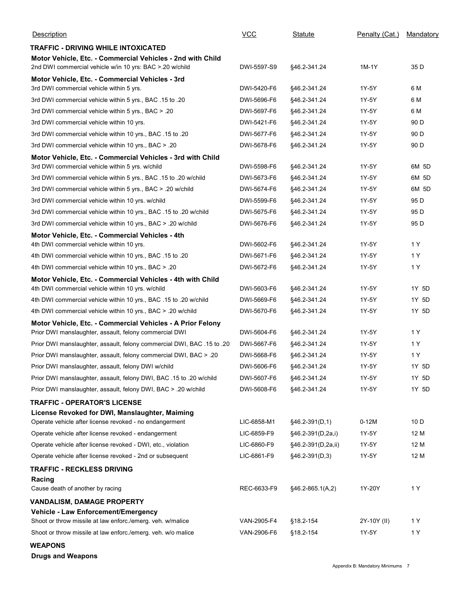| <b>Description</b>                                                                                                   | <b>VCC</b>  | Statute            | Penalty (Cat.) | Mandatory |
|----------------------------------------------------------------------------------------------------------------------|-------------|--------------------|----------------|-----------|
| <b>TRAFFIC - DRIVING WHILE INTOXICATED</b><br>Motor Vehicle, Etc. - Commercial Vehicles - 2nd with Child             |             |                    |                |           |
| 2nd DWI commercial vehicle w/in 10 yrs: BAC > 20 w/child                                                             | DWI-5597-S9 | §46.2-341.24       | 1M-1Y          | 35 D      |
| Motor Vehicle, Etc. - Commercial Vehicles - 3rd                                                                      |             |                    |                |           |
| 3rd DWI commercial vehicle within 5 yrs.                                                                             | DWI-5420-F6 | §46.2-341.24       | 1Y-5Y          | 6 M       |
| 3rd DWI commercial vehicle within 5 yrs., BAC .15 to .20                                                             | DWI-5696-F6 | §46.2-341.24       | 1Y-5Y          | 6 M       |
| 3rd DWI commercial vehicle within 5 yrs., BAC > .20                                                                  | DWI-5697-F6 | §46.2-341.24       | 1Y-5Y          | 6 M       |
| 3rd DWI commercial vehicle within 10 yrs.                                                                            | DWI-5421-F6 | §46.2-341.24       | 1Y-5Y          | 90 D      |
| 3rd DWI commercial vehicle within 10 yrs., BAC .15 to .20                                                            | DWI-5677-F6 | §46.2-341.24       | 1Y-5Y          | 90 D      |
| 3rd DWI commercial vehicle within 10 yrs., BAC > .20                                                                 | DWI-5678-F6 | §46.2-341.24       | 1Y-5Y          | 90 D      |
| Motor Vehicle, Etc. - Commercial Vehicles - 3rd with Child<br>3rd DWI commercial vehicle within 5 yrs. w/child       | DWI-5598-F6 | §46.2-341.24       | 1Y-5Y          | 6M 5D     |
| 3rd DWI commercial vehicle within 5 yrs., BAC .15 to .20 w/child                                                     | DWI-5673-F6 | §46.2-341.24       | 1Y-5Y          | 6M 5D     |
| 3rd DWI commercial vehicle within 5 yrs., BAC > .20 w/child                                                          | DWI-5674-F6 | §46.2-341.24       | 1Y-5Y          | 6M 5D     |
| 3rd DWI commercial vehicle within 10 yrs. w/child                                                                    | DWI-5599-F6 | §46.2-341.24       | 1Y-5Y          | 95 D      |
| 3rd DWI commercial vehicle within 10 yrs., BAC .15 to .20 w/child                                                    | DWI-5675-F6 | §46.2-341.24       | 1Y-5Y          | 95 D      |
| 3rd DWI commercial vehicle within 10 yrs., BAC > .20 w/child                                                         | DWI-5676-F6 | §46.2-341.24       | 1Y-5Y          | 95 D      |
| Motor Vehicle, Etc. - Commercial Vehicles - 4th                                                                      |             |                    |                |           |
| 4th DWI commercial vehicle within 10 yrs.                                                                            | DWI-5602-F6 | §46.2-341.24       | 1Y-5Y          | 1 Y       |
| 4th DWI commercial vehicle within 10 yrs., BAC .15 to .20                                                            | DWI-5671-F6 | §46.2-341.24       | 1Y-5Y          | 1 Y       |
| 4th DWI commercial vehicle within 10 yrs., BAC > .20                                                                 | DWI-5672-F6 | §46.2-341.24       | 1Y-5Y          | 1 Y       |
| Motor Vehicle, Etc. - Commercial Vehicles - 4th with Child                                                           |             |                    |                |           |
| 4th DWI commercial vehicle within 10 yrs. w/child                                                                    | DWI-5603-F6 | §46.2-341.24       | 1Y-5Y          | 1Y 5D     |
| 4th DWI commercial vehicle within 10 yrs., BAC .15 to .20 w/child                                                    | DWI-5669-F6 | §46.2-341.24       | 1Y-5Y          | 1Y 5D     |
| 4th DWI commercial vehicle within 10 yrs., BAC > .20 w/child                                                         | DWI-5670-F6 | §46.2-341.24       | 1Y-5Y          | 1Y 5D     |
| Motor Vehicle, Etc. - Commercial Vehicles - A Prior Felony<br>Prior DWI manslaughter, assault, felony commercial DWI | DWI-5604-F6 | §46.2-341.24       | 1Y-5Y          | 1 Y       |
| Prior DWI manslaughter, assault, felony commercial DWI, BAC .15 to .20                                               | DWI-5667-F6 | §46.2-341.24       | 1Y-5Y          | 1 Y       |
| Prior DWI manslaughter, assault, felony commercial DWI, BAC > .20                                                    | DWI-5668-F6 | §46.2-341.24       | 1Y-5Y          | 1 Y       |
| Prior DWI manslaughter, assault, felony DWI w/child                                                                  | DWI-5606-F6 | §46.2-341.24       | 1Y-5Y          | 1Y 5D     |
| Prior DWI manslaughter, assault, felony DWI, BAC .15 to .20 w/child                                                  | DWI-5607-F6 | §46.2-341.24       | 1Y-5Y          | 1Y 5D     |
| Prior DWI manslaughter, assault, felony DWI, BAC > .20 w/child                                                       | DWI-5608-F6 | §46.2-341.24       | 1Y-5Y          | 1Y 5D     |
| <b>TRAFFIC - OPERATOR'S LICENSE</b>                                                                                  |             |                    |                |           |
| License Revoked for DWI, Manslaughter, Maiming                                                                       |             |                    |                |           |
| Operate vehicle after license revoked - no endangerment                                                              | LIC-6858-M1 | §46.2-391(D,1)     | $0-12M$        | 10D       |
| Operate vehicle after license revoked - endangerment                                                                 | LIC-6859-F9 | §46.2-391(D,2a,i)  | 1Y-5Y          | 12 M      |
| Operate vehicle after license revoked - DWI, etc., violation                                                         | LIC-6860-F9 | §46.2-391(D,2a,ii) | 1Y-5Y          | 12 M      |
| Operate vehicle after license revoked - 2nd or subsequent                                                            | LIC-6861-F9 | §46.2-391(D,3)     | 1Y-5Y          | 12 M      |
| <b>TRAFFIC - RECKLESS DRIVING</b>                                                                                    |             |                    |                |           |
| Racing<br>Cause death of another by racing                                                                           | REC-6633-F9 | §46.2-865.1(A,2)   | 1Y-20Y         | 1 Y       |
|                                                                                                                      |             |                    |                |           |
| <b>VANDALISM, DAMAGE PROPERTY</b><br>Vehicle - Law Enforcement/Emergency                                             |             |                    |                |           |
| Shoot or throw missile at law enforc./emerg. veh. w/malice                                                           | VAN-2905-F4 | §18.2-154          | 2Y-10Y (II)    | 1 Y       |
| Shoot or throw missile at law enforc./emerg. veh. w/o malice                                                         | VAN-2906-F6 | §18.2-154          | 1Y-5Y          | 1 Y       |
| <b>WEAPONS</b>                                                                                                       |             |                    |                |           |
| <b>Drugs and Weapons</b>                                                                                             |             |                    |                |           |